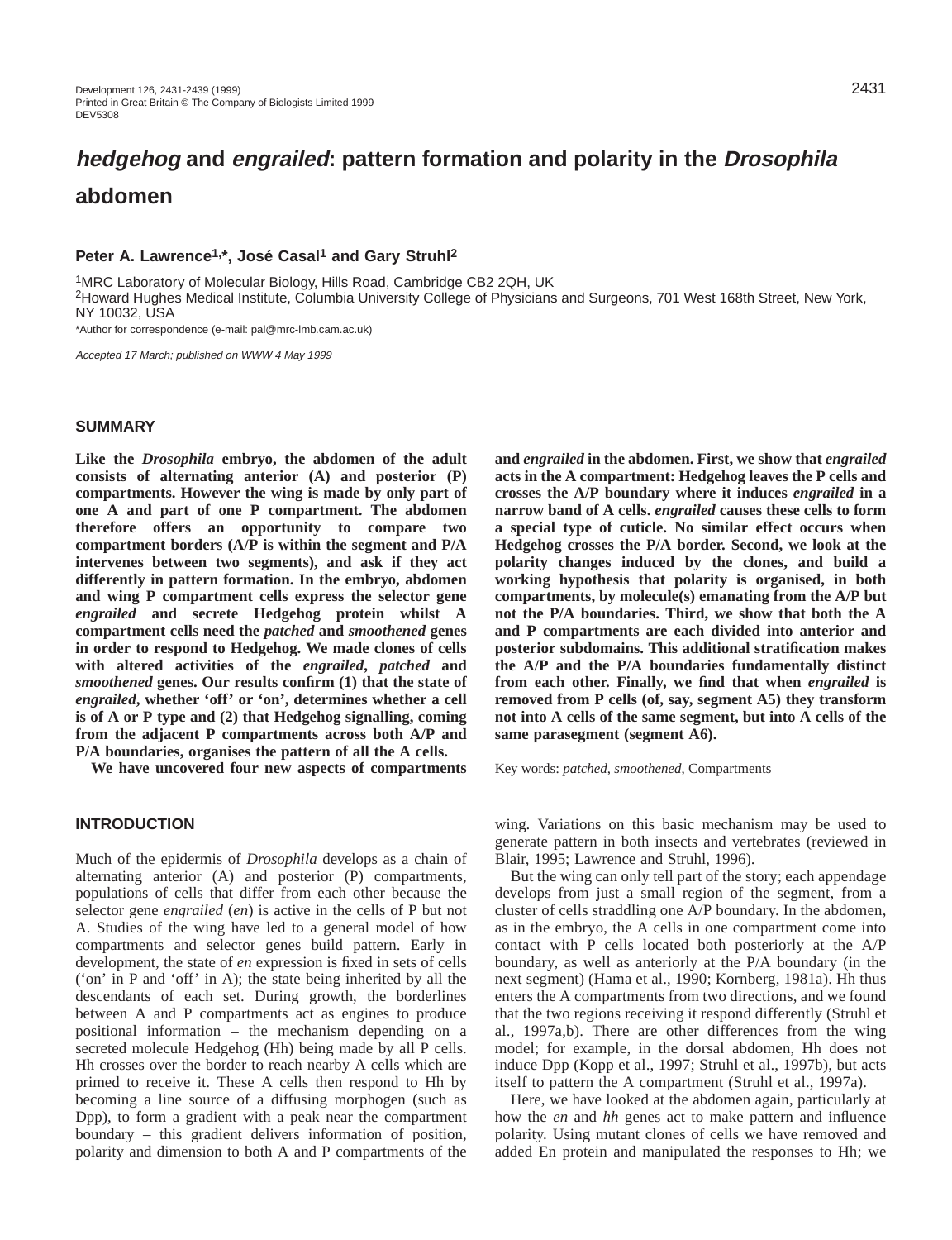# **hedgehog and engrailed: pattern formation and polarity in the Drosophila abdomen**

# Peter A. Lawrence<sup>1,\*</sup>, José Casal<sup>1</sup> and Gary Struhl<sup>2</sup>

1MRC Laboratory of Molecular Biology, Hills Road, Cambridge CB2 2QH, UK

2Howard Hughes Medical Institute, Columbia University College of Physicians and Surgeons, 701 West 168th Street, New York, NY 10032, USA

\*Author for correspondence (e-mail: pal@mrc-lmb.cam.ac.uk)

Accepted 17 March; published on WWW 4 May 1999

# **SUMMARY**

**Like the** *Drosophila* **embryo, the abdomen of the adult consists of alternating anterior (A) and posterior (P) compartments. However the wing is made by only part of one A and part of one P compartment. The abdomen therefore offers an opportunity to compare two compartment borders (A/P is within the segment and P/A intervenes between two segments), and ask if they act differently in pattern formation. In the embryo, abdomen and wing P compartment cells express the selector gene** *engrailed* **and secrete Hedgehog protein whilst A compartment cells need the** *patched* **and** *smoothened* **genes in order to respond to Hedgehog. We made clones of cells with altered activities of the** *engrailed***,** *patched* **and** *smoothened* **genes. Our results confirm (1) that the state of** *engrailed***, whether 'off' or 'on', determines whether a cell is of A or P type and (2) that Hedgehog signalling, coming from the adjacent P compartments across both A/P and P/A boundaries, organises the pattern of all the A cells.**

**We have uncovered four new aspects of compartments**

**INTRODUCTION**

Much of the epidermis of *Drosophila* develops as a chain of alternating anterior (A) and posterior (P) compartments, populations of cells that differ from each other because the selector gene *engrailed* (*en*) is active in the cells of P but not A. Studies of the wing have led to a general model of how compartments and selector genes build pattern. Early in development, the state of *en* expression is fixed in sets of cells ('on' in P and 'off' in A); the state being inherited by all the descendants of each set. During growth, the borderlines between A and P compartments act as engines to produce positional information – the mechanism depending on a secreted molecule Hedgehog (Hh) being made by all P cells. Hh crosses over the border to reach nearby A cells which are primed to receive it. These A cells then respond to Hh by becoming a line source of a diffusing morphogen (such as Dpp), to form a gradient with a peak near the compartment boundary – this gradient delivers information of position, polarity and dimension to both A and P compartments of the **and** *engrailed* **in the abdomen. First, we show that** *engrailed* **acts in the A compartment: Hedgehog leaves the P cells and crosses the A/P boundary where it induces** *engrailed* **in a narrow band of A cells.** *engrailed* **causes these cells to form a special type of cuticle. No similar effect occurs when Hedgehog crosses the P/A border. Second, we look at the polarity changes induced by the clones, and build a working hypothesis that polarity is organised, in both compartments, by molecule(s) emanating from the A/P but not the P/A boundaries. Third, we show that both the A and P compartments are each divided into anterior and posterior subdomains. This additional stratification makes the A/P and the P/A boundaries fundamentally distinct from each other. Finally, we find that when** *engrailed* **is removed from P cells (of, say, segment A5) they transform not into A cells of the same segment, but into A cells of the same parasegment (segment A6).**

Key words: *patched*, *smoothened*, Compartments

wing. Variations on this basic mechanism may be used to generate pattern in both insects and vertebrates (reviewed in Blair, 1995; Lawrence and Struhl, 1996).

But the wing can only tell part of the story; each appendage develops from just a small region of the segment, from a cluster of cells straddling one A/P boundary. In the abdomen, as in the embryo, the A cells in one compartment come into contact with P cells located both posteriorly at the A/P boundary, as well as anteriorly at the P/A boundary (in the next segment) (Hama et al., 1990; Kornberg, 1981a). Hh thus enters the A compartments from two directions, and we found that the two regions receiving it respond differently (Struhl et al., 1997a,b). There are other differences from the wing model; for example, in the dorsal abdomen, Hh does not induce Dpp (Kopp et al., 1997; Struhl et al., 1997b), but acts itself to pattern the A compartment (Struhl et al., 1997a).

Here, we have looked at the abdomen again, particularly at how the *en* and *hh* genes act to make pattern and influence polarity. Using mutant clones of cells we have removed and added En protein and manipulated the responses to Hh; we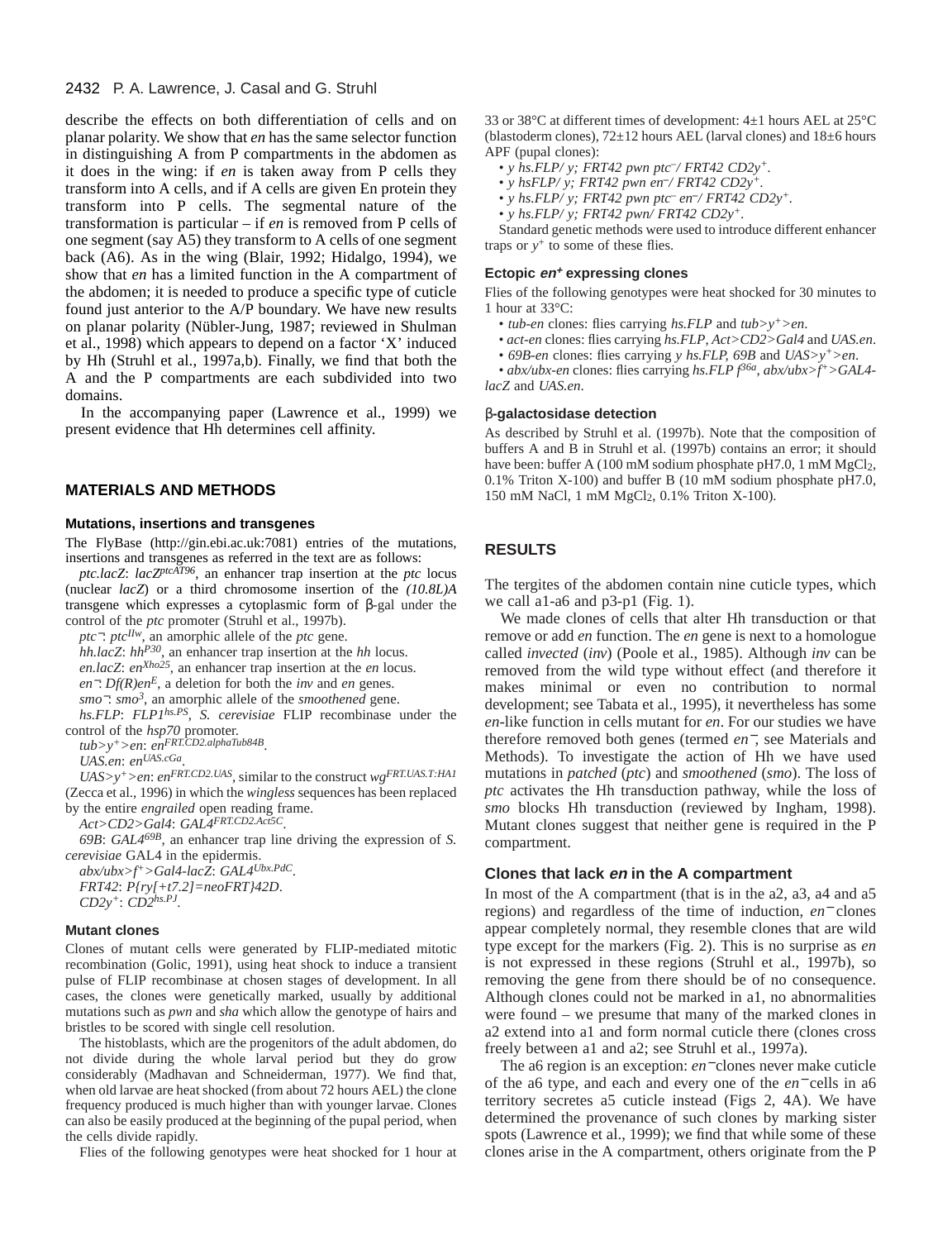### 2432 P. A. Lawrence, J. Casal and G. Struhl

describe the effects on both differentiation of cells and on planar polarity. We show that *en* has the same selector function in distinguishing A from P compartments in the abdomen as it does in the wing: if *en* is taken away from P cells they transform into A cells, and if A cells are given En protein they transform into P cells. The segmental nature of the transformation is particular – if *en* is removed from P cells of one segment (say A5) they transform to A cells of one segment back (A6). As in the wing (Blair, 1992; Hidalgo, 1994), we show that *en* has a limited function in the A compartment of the abdomen; it is needed to produce a specific type of cuticle found just anterior to the A/P boundary. We have new results on planar polarity (Nübler-Jung, 1987; reviewed in Shulman et al., 1998) which appears to depend on a factor 'X' induced by Hh (Struhl et al., 1997a,b). Finally, we find that both the A and the P compartments are each subdivided into two domains.

In the accompanying paper (Lawrence et al., 1999) we present evidence that Hh determines cell affinity.

## **MATERIALS AND METHODS**

#### **Mutations, insertions and transgenes**

The FlyBase (http://gin.ebi.ac.uk:7081) entries of the mutations, insertions and transgenes as referred in the text are as follows:

*ptc.lacZ*: *lacZptcAT96*, an enhancer trap insertion at the *ptc* locus (nuclear *lacZ*) or a third chromosome insertion of the *(10.8L)A* transgene which expresses a cytoplasmic form of β-gal under the control of the *ptc* promoter (Struhl et al., 1997b).

*ptc*<sup>−</sup>: *ptc*<sup>*IIw*</sup>, an amorphic allele of the *ptc* gene.

*hh.lacZ*: *hhP30*, an enhancer trap insertion at the *hh* locus.

*en.lacZ*: *enXho25*, an enhancer trap insertion at the *en* locus.

*en*−: *Df(R)enE*, a deletion for both the *inv* and *en* genes.

*smo*−: *smo3*, an amorphic allele of the *smoothened* gene.

*hs.FLP*: *FLP1hs.PS*, *S. cerevisiae* FLIP recombinase under the control of the *hsp70* promoter.

*tub>y+>en*: *enFRT.CD2.alphaTub84B*.

*UAS.en*: *enUAS.cGa*.

*UAS>y+>en*: *enFRT.CD2.UAS*, similar to the construct *wgFRT.UAS.T:HA1* (Zecca et al., 1996) in which the *wingless* sequences has been replaced by the entire *engrailed* open reading frame.

*Act>CD2>Gal4*: *GAL4FRT.CD2.Act5C*.

*69B*: *GAL469B*, an enhancer trap line driving the expression of *S. cerevisiae* GAL4 in the epidermis.

*abx/ubx>f+>Gal4-lacZ*: *GAL4Ubx.PdC*. *FRT42*: *P{ry[+t7.2]=neoFRT}42D*. *CD2y+*: *CD2hs.PJ*.

#### **Mutant clones**

Clones of mutant cells were generated by FLIP-mediated mitotic recombination (Golic, 1991), using heat shock to induce a transient pulse of FLIP recombinase at chosen stages of development. In all cases, the clones were genetically marked, usually by additional mutations such as *pwn* and *sha* which allow the genotype of hairs and bristles to be scored with single cell resolution.

The histoblasts, which are the progenitors of the adult abdomen, do not divide during the whole larval period but they do grow considerably (Madhavan and Schneiderman, 1977). We find that, when old larvae are heat shocked (from about 72 hours AEL) the clone frequency produced is much higher than with younger larvae. Clones can also be easily produced at the beginning of the pupal period, when the cells divide rapidly.

Flies of the following genotypes were heat shocked for 1 hour at

33 or 38°C at different times of development: 4±1 hours AEL at 25°C (blastoderm clones),  $72\pm12$  hours AEL (larval clones) and  $18\pm6$  hours APF (pupal clones):

*• y hs.FLP/ y; FRT42 pwn ptc–/ FRT42 CD2y+.*

*• y hsFLP/ y; FRT42 pwn en–/ FRT42 CD2y+.*

*• y hs.FLP/ y; FRT42 pwn ptc– en–/ FRT42 CD2y+.*

*• y hs.FLP/ y; FRT42 pwn/ FRT42 CD2y+.*

Standard genetic methods were used to introduce different enhancer traps or  $y^+$  to some of these flies.

#### **Ectopic en<sup>+</sup> expressing clones**

Flies of the following genotypes were heat shocked for 30 minutes to 1 hour at 33°C:

- *tub-en* clones: flies carrying *hs.FLP* and *tub>y+>en*.
- *act-en* clones: flies carrying *hs.FLP*, *Act>CD2>Gal4* and *UAS.en*.
- *69B-en* clones: flies carrying *y hs.FLP, 69B* and *UAS>y+>en*.

• *abx/ubx-en* clones: flies carrying *hs.FLP f36a*, *abx/ubx>f+>GAL4 lacZ* and *UAS.en*.

#### β**-galactosidase detection**

As described by Struhl et al. (1997b). Note that the composition of buffers A and B in Struhl et al. (1997b) contains an error; it should have been: buffer A (100 mM sodium phosphate pH7.0, 1 mM MgCl<sub>2</sub>, 0.1% Triton X-100) and buffer B (10 mM sodium phosphate pH7.0, 150 mM NaCl, 1 mM MgCl2, 0.1% Triton X-100).

# **RESULTS**

The tergites of the abdomen contain nine cuticle types, which we call a1-a6 and p3-p1 (Fig. 1).

We made clones of cells that alter Hh transduction or that remove or add *en* function. The *en* gene is next to a homologue called *invected* (*inv*) (Poole et al., 1985). Although *inv* can be removed from the wild type without effect (and therefore it makes minimal or even no contribution to normal development; see Tabata et al., 1995), it nevertheless has some *en*-like function in cells mutant for *en*. For our studies we have therefore removed both genes (termed *en*−, see Materials and Methods). To investigate the action of Hh we have used mutations in *patched* (*ptc*) and *smoothened* (*smo*). The loss of *ptc* activates the Hh transduction pathway, while the loss of *smo* blocks Hh transduction (reviewed by Ingham, 1998). Mutant clones suggest that neither gene is required in the P compartment.

#### **Clones that lack en in the A compartment**

In most of the A compartment (that is in the a2, a3, a4 and a5 regions) and regardless of the time of induction, *en*<sup>−</sup> clones appear completely normal, they resemble clones that are wild type except for the markers (Fig. 2). This is no surprise as *en* is not expressed in these regions (Struhl et al., 1997b), so removing the gene from there should be of no consequence. Although clones could not be marked in a1, no abnormalities were found – we presume that many of the marked clones in a2 extend into a1 and form normal cuticle there (clones cross freely between a1 and a2; see Struhl et al., 1997a).

The a6 region is an exception: *en*<sup>−</sup> clones never make cuticle of the a6 type, and each and every one of the *en*<sup>−</sup> cells in a6 territory secretes a5 cuticle instead (Figs 2, 4A). We have determined the provenance of such clones by marking sister spots (Lawrence et al., 1999); we find that while some of these clones arise in the A compartment, others originate from the P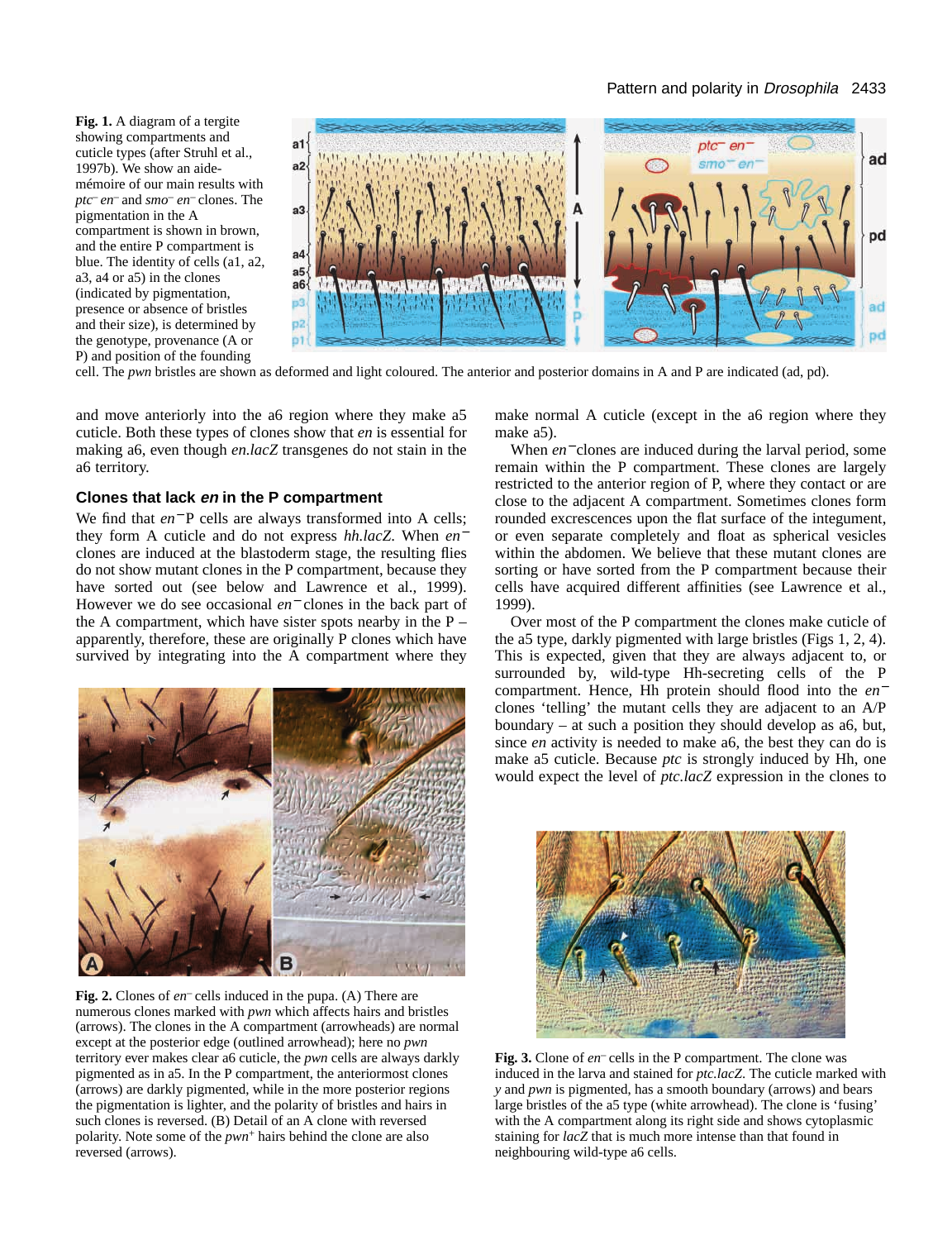## Pattern and polarity in Drosophila 2433

**Fig. 1.** A diagram of a tergite showing compartments and cuticle types (after Struhl et al., 1997b). We show an aidemémoire of our main results with *ptc– en–* and *smo– en–* clones. The pigmentation in the A compartment is shown in brown, and the entire P compartment is blue. The identity of cells (a1, a2, a3, a4 or a5) in the clones (indicated by pigmentation, presence or absence of bristles and their size), is determined by the genotype, provenance (A or P) and position of the founding



cell. The *pwn* bristles are shown as deformed and light coloured. The anterior and posterior domains in A and P are indicated (ad, pd).

and move anteriorly into the a6 region where they make a5 cuticle. Both these types of clones show that *en* is essential for making a6, even though *en.lacZ* transgenes do not stain in the a6 territory.

## **Clones that lack en in the P compartment**

We find that *en*<sup>−</sup> P cells are always transformed into A cells; they form A cuticle and do not express *hh.lacZ*. When *en*<sup>−</sup> clones are induced at the blastoderm stage, the resulting flies do not show mutant clones in the P compartment, because they have sorted out (see below and Lawrence et al., 1999). However we do see occasional *en*<sup>−</sup> clones in the back part of the A compartment, which have sister spots nearby in the  $P$ apparently, therefore, these are originally P clones which have survived by integrating into the A compartment where they



**Fig. 2.** Clones of *en–* cells induced in the pupa. (A) There are numerous clones marked with *pwn* which affects hairs and bristles (arrows). The clones in the A compartment (arrowheads) are normal except at the posterior edge (outlined arrowhead); here no *pwn* territory ever makes clear a6 cuticle, the *pwn* cells are always darkly pigmented as in a5. In the P compartment, the anteriormost clones (arrows) are darkly pigmented, while in the more posterior regions the pigmentation is lighter, and the polarity of bristles and hairs in such clones is reversed. (B) Detail of an A clone with reversed polarity. Note some of the *pwn*<sup>+</sup> hairs behind the clone are also reversed (arrows).

make normal A cuticle (except in the a6 region where they make a5).

When *en*<sup>−</sup> clones are induced during the larval period, some remain within the P compartment. These clones are largely restricted to the anterior region of P, where they contact or are close to the adjacent A compartment. Sometimes clones form rounded excrescences upon the flat surface of the integument, or even separate completely and float as spherical vesicles within the abdomen. We believe that these mutant clones are sorting or have sorted from the P compartment because their cells have acquired different affinities (see Lawrence et al., 1999).

Over most of the P compartment the clones make cuticle of the a5 type, darkly pigmented with large bristles (Figs 1, 2, 4). This is expected, given that they are always adjacent to, or surrounded by, wild-type Hh-secreting cells of the P compartment. Hence, Hh protein should flood into the *en*<sup>−</sup> clones 'telling' the mutant cells they are adjacent to an A/P boundary – at such a position they should develop as a6, but, since *en* activity is needed to make a6, the best they can do is make a5 cuticle. Because *ptc* is strongly induced by Hh, one would expect the level of *ptc.lacZ* expression in the clones to



**Fig. 3.** Clone of *en–* cells in the P compartment. The clone was induced in the larva and stained for *ptc.lacZ*. The cuticle marked with *y* and *pwn* is pigmented, has a smooth boundary (arrows) and bears large bristles of the a5 type (white arrowhead). The clone is 'fusing' with the A compartment along its right side and shows cytoplasmic staining for *lacZ* that is much more intense than that found in neighbouring wild-type a6 cells.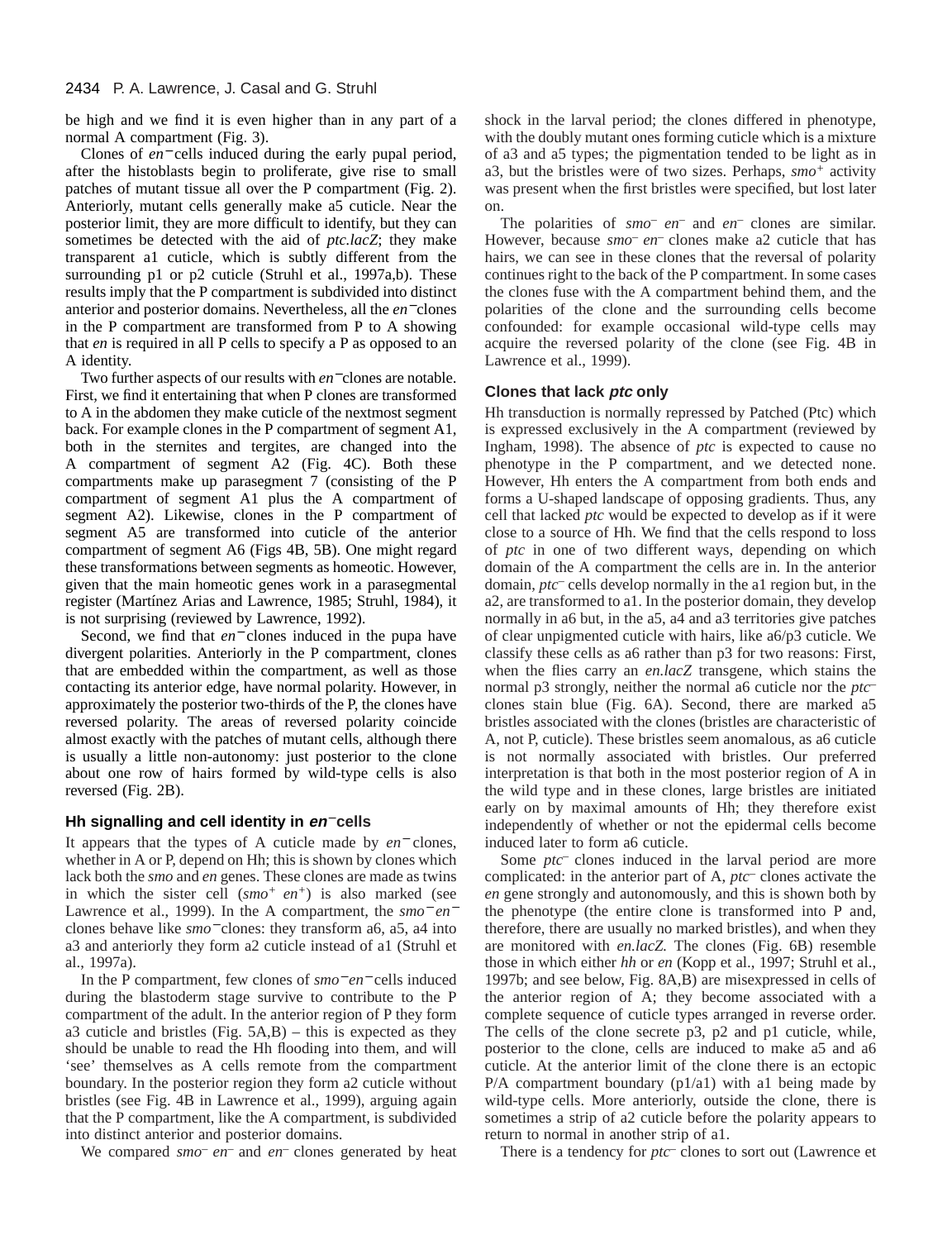### 2434 P. A. Lawrence, J. Casal and G. Struhl

be high and we find it is even higher than in any part of a normal A compartment (Fig. 3).

Clones of *en*<sup>−</sup> cells induced during the early pupal period, after the histoblasts begin to proliferate, give rise to small patches of mutant tissue all over the P compartment (Fig. 2). Anteriorly, mutant cells generally make a5 cuticle. Near the posterior limit, they are more difficult to identify, but they can sometimes be detected with the aid of *ptc.lacZ*; they make transparent a1 cuticle, which is subtly different from the surrounding p1 or p2 cuticle (Struhl et al., 1997a,b). These results imply that the P compartment is subdivided into distinct anterior and posterior domains. Nevertheless, all the *en*<sup>−</sup> clones in the P compartment are transformed from P to A showing that *en* is required in all P cells to specify a P as opposed to an A identity.

Two further aspects of our results with *en*<sup>−</sup> clones are notable. First, we find it entertaining that when P clones are transformed to A in the abdomen they make cuticle of the nextmost segment back. For example clones in the P compartment of segment A1, both in the sternites and tergites, are changed into the A compartment of segment A2 (Fig. 4C). Both these compartments make up parasegment 7 (consisting of the P compartment of segment A1 plus the A compartment of segment A2). Likewise, clones in the P compartment of segment A5 are transformed into cuticle of the anterior compartment of segment A6 (Figs 4B, 5B). One might regard these transformations between segments as homeotic. However, given that the main homeotic genes work in a parasegmental register (Martínez Arias and Lawrence, 1985; Struhl, 1984), it is not surprising (reviewed by Lawrence, 1992).

Second, we find that *en*<sup>−</sup> clones induced in the pupa have divergent polarities. Anteriorly in the P compartment, clones that are embedded within the compartment, as well as those contacting its anterior edge, have normal polarity. However, in approximately the posterior two-thirds of the P, the clones have reversed polarity. The areas of reversed polarity coincide almost exactly with the patches of mutant cells, although there is usually a little non-autonomy: just posterior to the clone about one row of hairs formed by wild-type cells is also reversed (Fig. 2B).

## **Hh signalling and cell identity in en**<sup>−</sup> **cells**

It appears that the types of A cuticle made by *en*<sup>−</sup> clones, whether in A or P, depend on Hh; this is shown by clones which lack both the *smo* and *en* genes. These clones are made as twins in which the sister cell (*smo+ en+*) is also marked (see Lawrence et al., 1999). In the A compartment, the *smo*<sup>−</sup> *en*<sup>−</sup> clones behave like *smo*<sup>−</sup> clones: they transform a6, a5, a4 into a3 and anteriorly they form a2 cuticle instead of a1 (Struhl et al., 1997a).

In the P compartment, few clones of *smo*<sup>−</sup> *en*<sup>−</sup> cells induced during the blastoderm stage survive to contribute to the P compartment of the adult. In the anterior region of P they form a3 cuticle and bristles (Fig.  $5A,B$ ) – this is expected as they should be unable to read the Hh flooding into them, and will 'see' themselves as A cells remote from the compartment boundary. In the posterior region they form a2 cuticle without bristles (see Fig. 4B in Lawrence et al., 1999), arguing again that the P compartment, like the A compartment, is subdivided into distinct anterior and posterior domains.

We compared *smo<sup>-</sup> en*<sup>-</sup> and *en*<sup>-</sup> clones generated by heat

shock in the larval period; the clones differed in phenotype, with the doubly mutant ones forming cuticle which is a mixture of a3 and a5 types; the pigmentation tended to be light as in a3, but the bristles were of two sizes. Perhaps, *smo<sup>+</sup>* activity was present when the first bristles were specified, but lost later on.

The polarities of *smo– en–* and *en–* clones are similar. However, because *smo– en–* clones make a2 cuticle that has hairs, we can see in these clones that the reversal of polarity continues right to the back of the P compartment. In some cases the clones fuse with the A compartment behind them, and the polarities of the clone and the surrounding cells become confounded: for example occasional wild-type cells may acquire the reversed polarity of the clone (see Fig. 4B in Lawrence et al., 1999).

## **Clones that lack ptc only**

Hh transduction is normally repressed by Patched (Ptc) which is expressed exclusively in the A compartment (reviewed by Ingham, 1998). The absence of *ptc* is expected to cause no phenotype in the P compartment, and we detected none. However, Hh enters the A compartment from both ends and forms a U-shaped landscape of opposing gradients. Thus, any cell that lacked *ptc* would be expected to develop as if it were close to a source of Hh. We find that the cells respond to loss of *ptc* in one of two different ways, depending on which domain of the A compartment the cells are in. In the anterior domain, *ptc–* cells develop normally in the a1 region but, in the a2, are transformed to a1. In the posterior domain, they develop normally in a6 but, in the a5, a4 and a3 territories give patches of clear unpigmented cuticle with hairs, like a6/p3 cuticle. We classify these cells as a6 rather than p3 for two reasons: First, when the flies carry an *en.lacZ* transgene, which stains the normal p3 strongly, neither the normal a6 cuticle nor the *ptc–* clones stain blue (Fig. 6A). Second, there are marked a5 bristles associated with the clones (bristles are characteristic of A, not P, cuticle). These bristles seem anomalous, as a6 cuticle is not normally associated with bristles. Our preferred interpretation is that both in the most posterior region of A in the wild type and in these clones, large bristles are initiated early on by maximal amounts of Hh; they therefore exist independently of whether or not the epidermal cells become induced later to form a6 cuticle.

Some *ptc*<sup>–</sup> clones induced in the larval period are more complicated: in the anterior part of A, *ptc–* clones activate the *en* gene strongly and autonomously, and this is shown both by the phenotype (the entire clone is transformed into P and, therefore, there are usually no marked bristles), and when they are monitored with *en.lacZ.* The clones (Fig. 6B) resemble those in which either *hh* or *en* (Kopp et al., 1997; Struhl et al., 1997b; and see below, Fig. 8A,B) are misexpressed in cells of the anterior region of A; they become associated with a complete sequence of cuticle types arranged in reverse order. The cells of the clone secrete p3, p2 and p1 cuticle, while, posterior to the clone, cells are induced to make a5 and a6 cuticle. At the anterior limit of the clone there is an ectopic P/A compartment boundary  $(p1/a1)$  with a1 being made by wild-type cells. More anteriorly, outside the clone, there is sometimes a strip of a2 cuticle before the polarity appears to return to normal in another strip of a1.

There is a tendency for *ptc–* clones to sort out (Lawrence et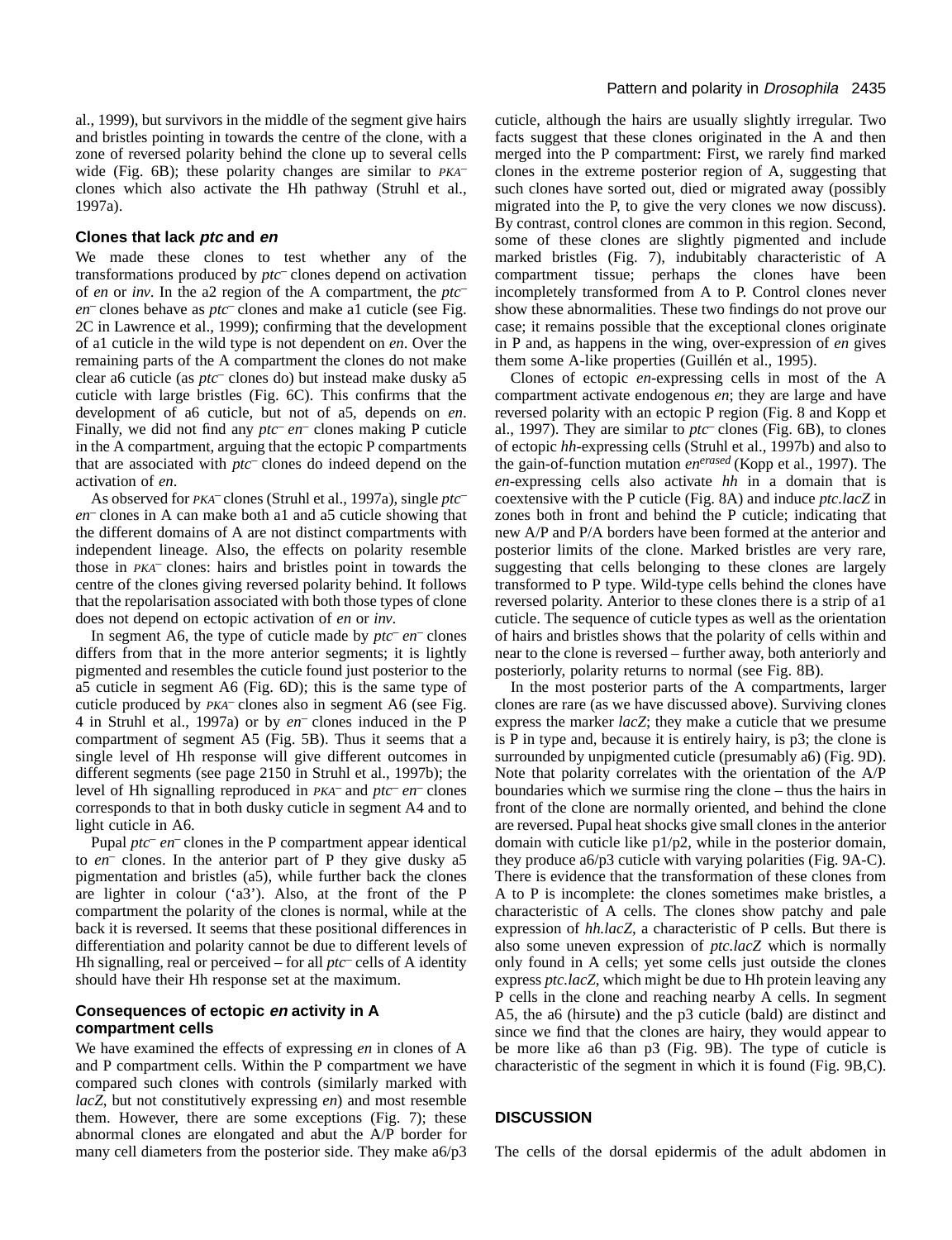al., 1999), but survivors in the middle of the segment give hairs and bristles pointing in towards the centre of the clone, with a zone of reversed polarity behind the clone up to several cells wide (Fig. 6B); these polarity changes are similar to *PKA–* clones which also activate the Hh pathway (Struhl et al., 1997a).

#### **Clones that lack ptc and en**

We made these clones to test whether any of the transformations produced by *ptc–* clones depend on activation of *en* or *inv*. In the a2 region of the A compartment, the *ptc– en–* clones behave as *ptc–* clones and make a1 cuticle (see Fig. 2C in Lawrence et al., 1999); confirming that the development of a1 cuticle in the wild type is not dependent on *en*. Over the remaining parts of the A compartment the clones do not make clear a6 cuticle (as *ptc–* clones do) but instead make dusky a5 cuticle with large bristles (Fig. 6C). This confirms that the development of a6 cuticle, but not of a5, depends on *en*. Finally, we did not find any *ptc– en–* clones making P cuticle in the A compartment, arguing that the ectopic P compartments that are associated with *ptc–* clones do indeed depend on the activation of *en*.

As observed for *PKA–* clones (Struhl et al., 1997a), single *ptc– en–* clones in A can make both a1 and a5 cuticle showing that the different domains of A are not distinct compartments with independent lineage. Also, the effects on polarity resemble those in *PKA–* clones: hairs and bristles point in towards the centre of the clones giving reversed polarity behind. It follows that the repolarisation associated with both those types of clone does not depend on ectopic activation of *en* or *inv*.

In segment A6, the type of cuticle made by *ptc– en–* clones differs from that in the more anterior segments; it is lightly pigmented and resembles the cuticle found just posterior to the a5 cuticle in segment A6 (Fig. 6D); this is the same type of cuticle produced by *PKA–* clones also in segment A6 (see Fig. 4 in Struhl et al., 1997a) or by *en–* clones induced in the P compartment of segment A5 (Fig. 5B). Thus it seems that a single level of Hh response will give different outcomes in different segments (see page 2150 in Struhl et al., 1997b); the level of Hh signalling reproduced in *PKA–* and *ptc– en–* clones corresponds to that in both dusky cuticle in segment A4 and to light cuticle in A6.

Pupal *ptc– en–* clones in the P compartment appear identical to *en–* clones. In the anterior part of P they give dusky a5 pigmentation and bristles (a5), while further back the clones are lighter in colour ('a3'). Also, at the front of the P compartment the polarity of the clones is normal, while at the back it is reversed. It seems that these positional differences in differentiation and polarity cannot be due to different levels of Hh signalling, real or perceived – for all *ptc–* cells of A identity should have their Hh response set at the maximum.

## **Consequences of ectopic en activity in A compartment cells**

We have examined the effects of expressing *en* in clones of A and P compartment cells. Within the P compartment we have compared such clones with controls (similarly marked with *lacZ*, but not constitutively expressing *en*) and most resemble them. However, there are some exceptions (Fig. 7); these abnormal clones are elongated and abut the A/P border for many cell diameters from the posterior side. They make a6/p3 cuticle, although the hairs are usually slightly irregular. Two facts suggest that these clones originated in the A and then merged into the P compartment: First, we rarely find marked clones in the extreme posterior region of A, suggesting that such clones have sorted out, died or migrated away (possibly migrated into the P, to give the very clones we now discuss). By contrast, control clones are common in this region. Second, some of these clones are slightly pigmented and include marked bristles (Fig. 7), indubitably characteristic of A compartment tissue; perhaps the clones have been incompletely transformed from A to P. Control clones never show these abnormalities. These two findings do not prove our case; it remains possible that the exceptional clones originate in P and, as happens in the wing, over-expression of *en* gives them some A-like properties (Guillén et al., 1995).

Clones of ectopic *en*-expressing cells in most of the A compartment activate endogenous *en*; they are large and have reversed polarity with an ectopic P region (Fig. 8 and Kopp et al., 1997). They are similar to *ptc–* clones (Fig. 6B), to clones of ectopic *hh*-expressing cells (Struhl et al., 1997b) and also to the gain-of-function mutation *enerased* (Kopp et al., 1997). The *en*-expressing cells also activate *hh* in a domain that is coextensive with the P cuticle (Fig. 8A) and induce *ptc.lacZ* in zones both in front and behind the P cuticle; indicating that new A/P and P/A borders have been formed at the anterior and posterior limits of the clone. Marked bristles are very rare, suggesting that cells belonging to these clones are largely transformed to P type. Wild-type cells behind the clones have reversed polarity. Anterior to these clones there is a strip of a1 cuticle. The sequence of cuticle types as well as the orientation of hairs and bristles shows that the polarity of cells within and near to the clone is reversed – further away, both anteriorly and posteriorly, polarity returns to normal (see Fig. 8B).

In the most posterior parts of the A compartments, larger clones are rare (as we have discussed above). Surviving clones express the marker *lacZ*; they make a cuticle that we presume is P in type and, because it is entirely hairy, is p3; the clone is surrounded by unpigmented cuticle (presumably a6) (Fig. 9D). Note that polarity correlates with the orientation of the A/P boundaries which we surmise ring the clone – thus the hairs in front of the clone are normally oriented, and behind the clone are reversed. Pupal heat shocks give small clones in the anterior domain with cuticle like p1/p2, while in the posterior domain, they produce a6/p3 cuticle with varying polarities (Fig. 9A-C). There is evidence that the transformation of these clones from A to P is incomplete: the clones sometimes make bristles, a characteristic of A cells. The clones show patchy and pale expression of *hh.lacZ*, a characteristic of P cells. But there is also some uneven expression of *ptc.lacZ* which is normally only found in A cells; yet some cells just outside the clones express *ptc.lacZ*, which might be due to Hh protein leaving any P cells in the clone and reaching nearby A cells. In segment A5, the a6 (hirsute) and the p3 cuticle (bald) are distinct and since we find that the clones are hairy, they would appear to be more like a6 than p3 (Fig. 9B). The type of cuticle is characteristic of the segment in which it is found (Fig. 9B,C).

## **DISCUSSION**

The cells of the dorsal epidermis of the adult abdomen in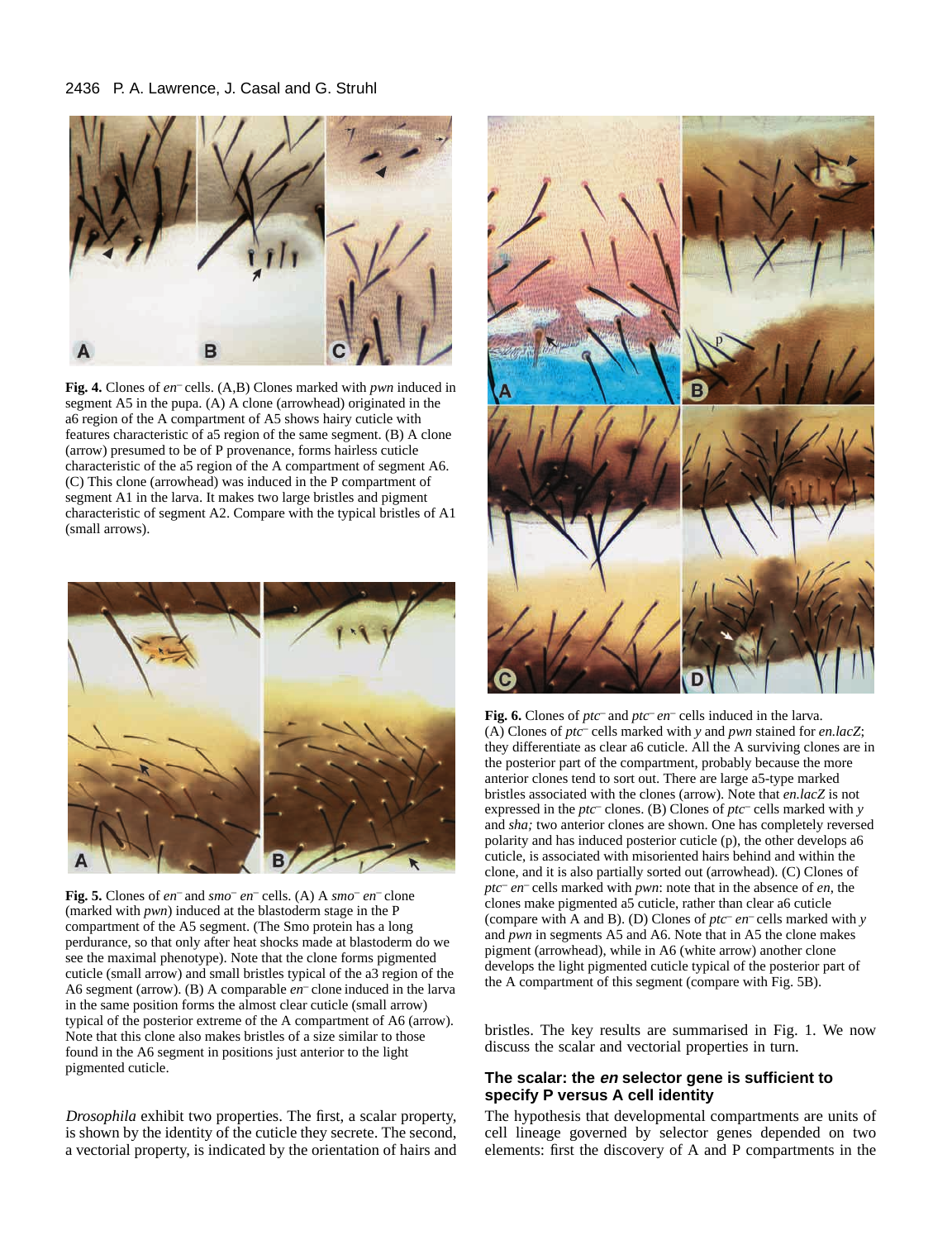## 2436 P. A. Lawrence, J. Casal and G. Struhl



**Fig. 4.** Clones of *en–* cells. (A,B) Clones marked with *pwn* induced in segment A5 in the pupa. (A) A clone (arrowhead) originated in the a6 region of the A compartment of A5 shows hairy cuticle with features characteristic of a5 region of the same segment. (B) A clone (arrow) presumed to be of P provenance, forms hairless cuticle characteristic of the a5 region of the A compartment of segment A6. (C) This clone (arrowhead) was induced in the P compartment of segment A1 in the larva. It makes two large bristles and pigment characteristic of segment A2. Compare with the typical bristles of A1 (small arrows).



**Fig. 5.** Clones of *en–* and *smo– en–* cells. (A) A *smo– en–* clone (marked with *pwn*) induced at the blastoderm stage in the P compartment of the A5 segment. (The Smo protein has a long perdurance, so that only after heat shocks made at blastoderm do we see the maximal phenotype). Note that the clone forms pigmented cuticle (small arrow) and small bristles typical of the a3 region of the A6 segment (arrow). (B) A comparable *en–* clone induced in the larva in the same position forms the almost clear cuticle (small arrow) typical of the posterior extreme of the A compartment of A6 (arrow). Note that this clone also makes bristles of a size similar to those found in the A6 segment in positions just anterior to the light pigmented cuticle.

*Drosophila* exhibit two properties. The first, a scalar property, is shown by the identity of the cuticle they secrete. The second, a vectorial property, is indicated by the orientation of hairs and



**Fig. 6.** Clones of *ptc–* and *ptc– en–* cells induced in the larva. (A) Clones of *ptc–* cells marked with *y* and *pwn* stained for *en.lacZ*; they differentiate as clear a6 cuticle. All the A surviving clones are in the posterior part of the compartment, probably because the more anterior clones tend to sort out. There are large a5-type marked bristles associated with the clones (arrow). Note that *en.lacZ* is not expressed in the *ptc–* clones. (B) Clones of *ptc–* cells marked with *y* and *sha;* two anterior clones are shown. One has completely reversed polarity and has induced posterior cuticle (p), the other develops a6 cuticle, is associated with misoriented hairs behind and within the clone, and it is also partially sorted out (arrowhead). (C) Clones of *ptc– en–* cells marked with *pwn*: note that in the absence of *en*, the clones make pigmented a5 cuticle, rather than clear a6 cuticle (compare with A and B). (D) Clones of *ptc– en–* cells marked with *y* and *pwn* in segments A5 and A6. Note that in A5 the clone makes pigment (arrowhead), while in A6 (white arrow) another clone develops the light pigmented cuticle typical of the posterior part of the A compartment of this segment (compare with Fig. 5B).

bristles. The key results are summarised in Fig. 1. We now discuss the scalar and vectorial properties in turn.

## **The scalar: the en selector gene is sufficient to specify P versus A cell identity**

The hypothesis that developmental compartments are units of cell lineage governed by selector genes depended on two elements: first the discovery of A and P compartments in the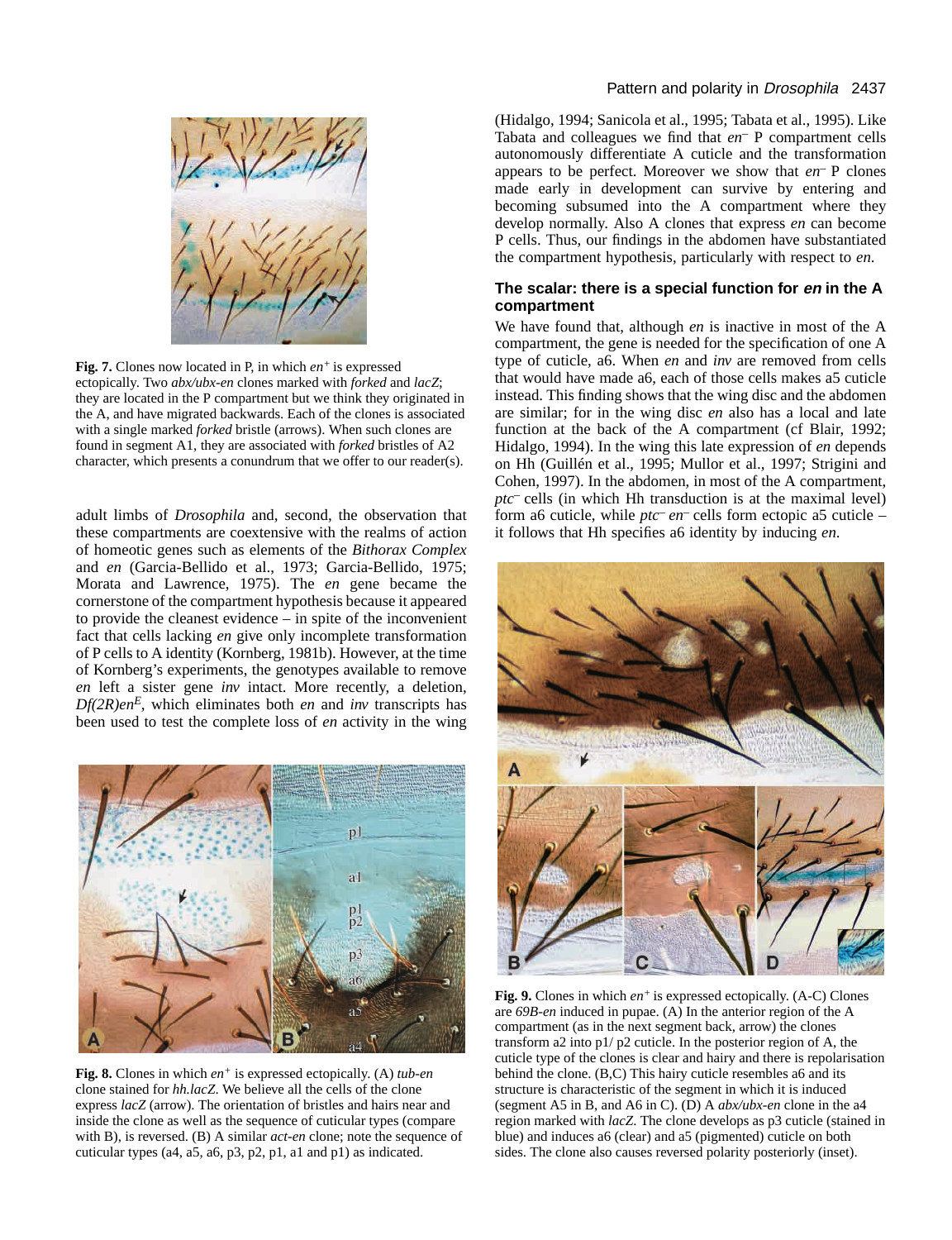

**Fig. 7.** Clones now located in P, in which *en+* is expressed ectopically. Two *abx/ubx-en* clones marked with *forked* and *lacZ*; they are located in the P compartment but we think they originated in the A, and have migrated backwards. Each of the clones is associated with a single marked *forked* bristle (arrows). When such clones are found in segment A1, they are associated with *forked* bristles of A2 character, which presents a conundrum that we offer to our reader(s).

adult limbs of *Drosophila* and, second, the observation that these compartments are coextensive with the realms of action of homeotic genes such as elements of the *Bithorax Complex* and *en* (Garcia-Bellido et al., 1973; Garcia-Bellido, 1975; Morata and Lawrence, 1975). The *en* gene became the cornerstone of the compartment hypothesis because it appeared to provide the cleanest evidence – in spite of the inconvenient fact that cells lacking *en* give only incomplete transformation of P cells to A identity (Kornberg, 1981b). However, at the time of Kornberg's experiments, the genotypes available to remove *en* left a sister gene *inv* intact. More recently, a deletion,  $Df(2R)en^E$ , which eliminates both *en* and *inv* transcripts has been used to test the complete loss of *en* activity in the wing



**Fig. 8.** Clones in which *en+* is expressed ectopically. (A) *tub-en* clone stained for *hh.lacZ*. We believe all the cells of the clone express *lacZ* (arrow). The orientation of bristles and hairs near and inside the clone as well as the sequence of cuticular types (compare with B), is reversed. (B) A similar *act-en* clone; note the sequence of cuticular types (a4, a5, a6, p3, p2, p1, a1 and p1) as indicated.

# Pattern and polarity in Drosophila 2437

(Hidalgo, 1994; Sanicola et al., 1995; Tabata et al., 1995). Like Tabata and colleagues we find that *en–* P compartment cells autonomously differentiate A cuticle and the transformation appears to be perfect. Moreover we show that *en–* P clones made early in development can survive by entering and becoming subsumed into the A compartment where they develop normally. Also A clones that express *en* can become P cells. Thus, our findings in the abdomen have substantiated the compartment hypothesis, particularly with respect to *en*.

## **The scalar: there is a special function for en in the A compartment**

We have found that, although *en* is inactive in most of the A compartment, the gene is needed for the specification of one A type of cuticle, a6. When *en* and *inv* are removed from cells that would have made a6, each of those cells makes a5 cuticle instead. This finding shows that the wing disc and the abdomen are similar; for in the wing disc *en* also has a local and late function at the back of the A compartment (cf Blair, 1992; Hidalgo, 1994). In the wing this late expression of *en* depends on Hh (Guillén et al., 1995; Mullor et al., 1997; Strigini and Cohen, 1997). In the abdomen, in most of the A compartment, *ptc–* cells (in which Hh transduction is at the maximal level) form a6 cuticle, while *ptc– en–* cells form ectopic a5 cuticle – it follows that Hh specifies a6 identity by inducing *en*.



**Fig. 9.** Clones in which *en+* is expressed ectopically. (A-C) Clones are *69B-en* induced in pupae. (A) In the anterior region of the A compartment (as in the next segment back, arrow) the clones transform a2 into p1/ p2 cuticle. In the posterior region of A, the cuticle type of the clones is clear and hairy and there is repolarisation behind the clone. (B,C) This hairy cuticle resembles a6 and its structure is characteristic of the segment in which it is induced (segment A5 in B, and A6 in C). (D) A *abx/ubx-en* clone in the a4 region marked with *lacZ*. The clone develops as p3 cuticle (stained in blue) and induces a6 (clear) and a5 (pigmented) cuticle on both sides. The clone also causes reversed polarity posteriorly (inset).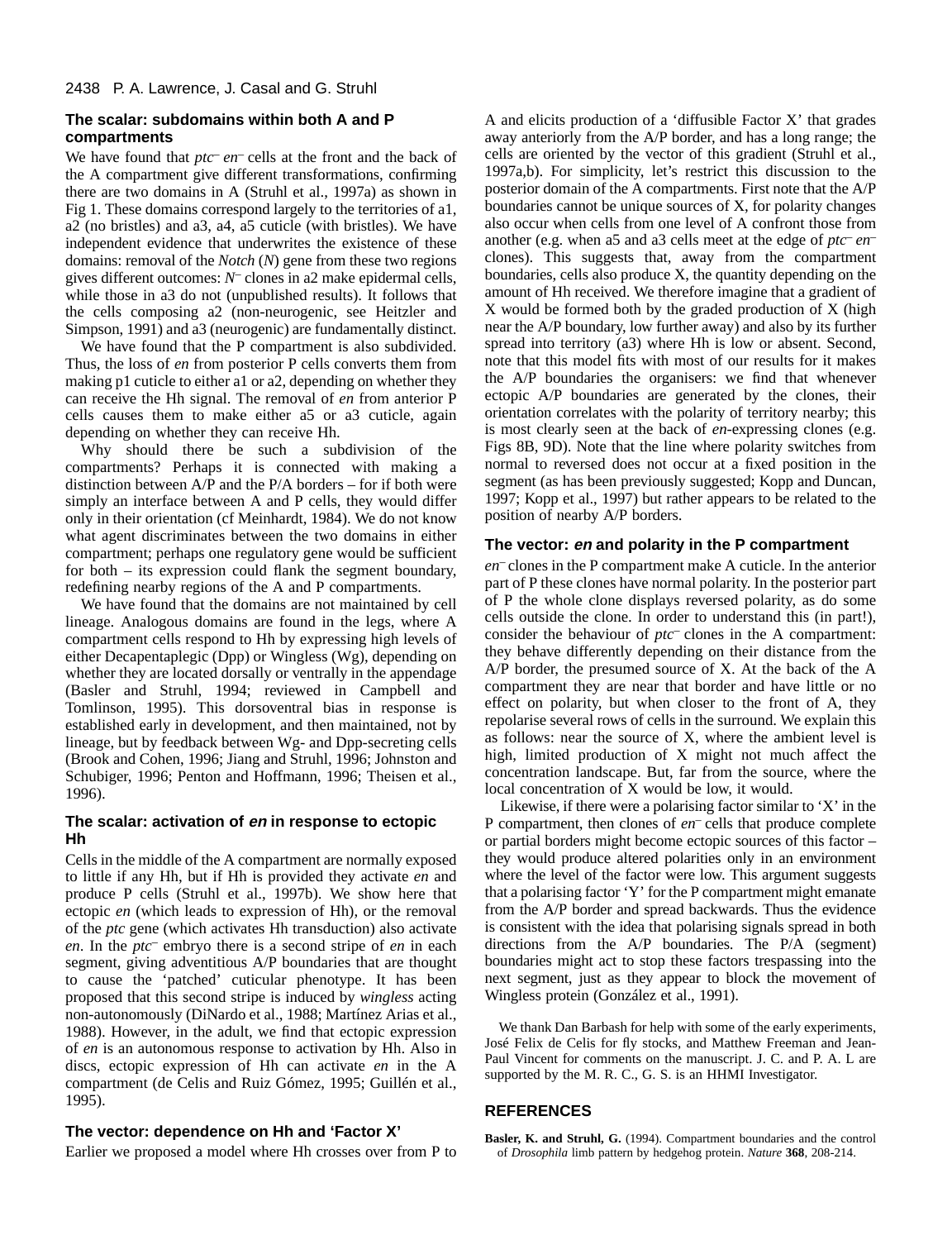## **The scalar: subdomains within both A and P compartments**

We have found that *ptc<sup>-</sup> en*<sup>-</sup> cells at the front and the back of the A compartment give different transformations, confirming there are two domains in A (Struhl et al., 1997a) as shown in Fig 1. These domains correspond largely to the territories of a1, a2 (no bristles) and a3, a4, a5 cuticle (with bristles). We have independent evidence that underwrites the existence of these domains: removal of the *Notch* (*N*) gene from these two regions gives different outcomes: *N–* clones in a2 make epidermal cells, while those in a3 do not (unpublished results). It follows that the cells composing a2 (non-neurogenic, see Heitzler and Simpson, 1991) and a3 (neurogenic) are fundamentally distinct.

We have found that the P compartment is also subdivided. Thus, the loss of *en* from posterior P cells converts them from making p1 cuticle to either a1 or a2, depending on whether they can receive the Hh signal. The removal of *en* from anterior P cells causes them to make either a5 or a3 cuticle, again depending on whether they can receive Hh.

Why should there be such a subdivision of the compartments? Perhaps it is connected with making a distinction between A/P and the P/A borders – for if both were simply an interface between A and P cells, they would differ only in their orientation (cf Meinhardt, 1984). We do not know what agent discriminates between the two domains in either compartment; perhaps one regulatory gene would be sufficient for both – its expression could flank the segment boundary, redefining nearby regions of the A and P compartments.

We have found that the domains are not maintained by cell lineage. Analogous domains are found in the legs, where A compartment cells respond to Hh by expressing high levels of either Decapentaplegic (Dpp) or Wingless (Wg), depending on whether they are located dorsally or ventrally in the appendage (Basler and Struhl, 1994; reviewed in Campbell and Tomlinson, 1995). This dorsoventral bias in response is established early in development, and then maintained, not by lineage, but by feedback between Wg- and Dpp-secreting cells (Brook and Cohen, 1996; Jiang and Struhl, 1996; Johnston and Schubiger, 1996; Penton and Hoffmann, 1996; Theisen et al., 1996).

## **The scalar: activation of en in response to ectopic Hh**

Cells in the middle of the A compartment are normally exposed to little if any Hh, but if Hh is provided they activate *en* and produce P cells (Struhl et al., 1997b). We show here that ectopic *en* (which leads to expression of Hh), or the removal of the *ptc* gene (which activates Hh transduction) also activate *en*. In the *ptc–* embryo there is a second stripe of *en* in each segment, giving adventitious A/P boundaries that are thought to cause the 'patched' cuticular phenotype. It has been proposed that this second stripe is induced by *wingless* acting non-autonomously (DiNardo et al., 1988; Martínez Arias et al., 1988). However, in the adult, we find that ectopic expression of *en* is an autonomous response to activation by Hh. Also in discs, ectopic expression of Hh can activate *en* in the A compartment (de Celis and Ruiz Gómez, 1995; Guillén et al., 1995).

### **The vector: dependence on Hh and 'Factor X'**

Earlier we proposed a model where Hh crosses over from P to

A and elicits production of a 'diffusible Factor X' that grades away anteriorly from the A/P border, and has a long range; the cells are oriented by the vector of this gradient (Struhl et al., 1997a,b). For simplicity, let's restrict this discussion to the posterior domain of the A compartments. First note that the A/P boundaries cannot be unique sources of X, for polarity changes also occur when cells from one level of A confront those from another (e.g. when a5 and a3 cells meet at the edge of *ptc– en–* clones). This suggests that, away from the compartment boundaries, cells also produce X, the quantity depending on the amount of Hh received. We therefore imagine that a gradient of X would be formed both by the graded production of X (high near the A/P boundary, low further away) and also by its further spread into territory (a3) where Hh is low or absent. Second, note that this model fits with most of our results for it makes the A/P boundaries the organisers: we find that whenever ectopic A/P boundaries are generated by the clones, their orientation correlates with the polarity of territory nearby; this is most clearly seen at the back of *en*-expressing clones (e.g. Figs 8B, 9D). Note that the line where polarity switches from normal to reversed does not occur at a fixed position in the segment (as has been previously suggested; Kopp and Duncan, 1997; Kopp et al., 1997) but rather appears to be related to the position of nearby A/P borders.

## **The vector: en and polarity in the P compartment**

*en–* clones in the P compartment make A cuticle. In the anterior part of P these clones have normal polarity. In the posterior part of P the whole clone displays reversed polarity, as do some cells outside the clone. In order to understand this (in part!), consider the behaviour of *ptc–* clones in the A compartment: they behave differently depending on their distance from the A/P border, the presumed source of X. At the back of the A compartment they are near that border and have little or no effect on polarity, but when closer to the front of A, they repolarise several rows of cells in the surround. We explain this as follows: near the source of X, where the ambient level is high, limited production of X might not much affect the concentration landscape. But, far from the source, where the local concentration of X would be low, it would.

Likewise, if there were a polarising factor similar to 'X' in the P compartment, then clones of *en–* cells that produce complete or partial borders might become ectopic sources of this factor – they would produce altered polarities only in an environment where the level of the factor were low. This argument suggests that a polarising factor 'Y' for the P compartment might emanate from the A/P border and spread backwards. Thus the evidence is consistent with the idea that polarising signals spread in both directions from the A/P boundaries. The P/A (segment) boundaries might act to stop these factors trespassing into the next segment, just as they appear to block the movement of Wingless protein (González et al., 1991).

We thank Dan Barbash for help with some of the early experiments, José Felix de Celis for fly stocks, and Matthew Freeman and Jean-Paul Vincent for comments on the manuscript. J. C. and P. A. L are supported by the M. R. C., G. S. is an HHMI Investigator.

## **REFERENCES**

**Basler, K. and Struhl, G.** (1994). Compartment boundaries and the control of *Drosophila* limb pattern by hedgehog protein. *Nature* **368**, 208-214.